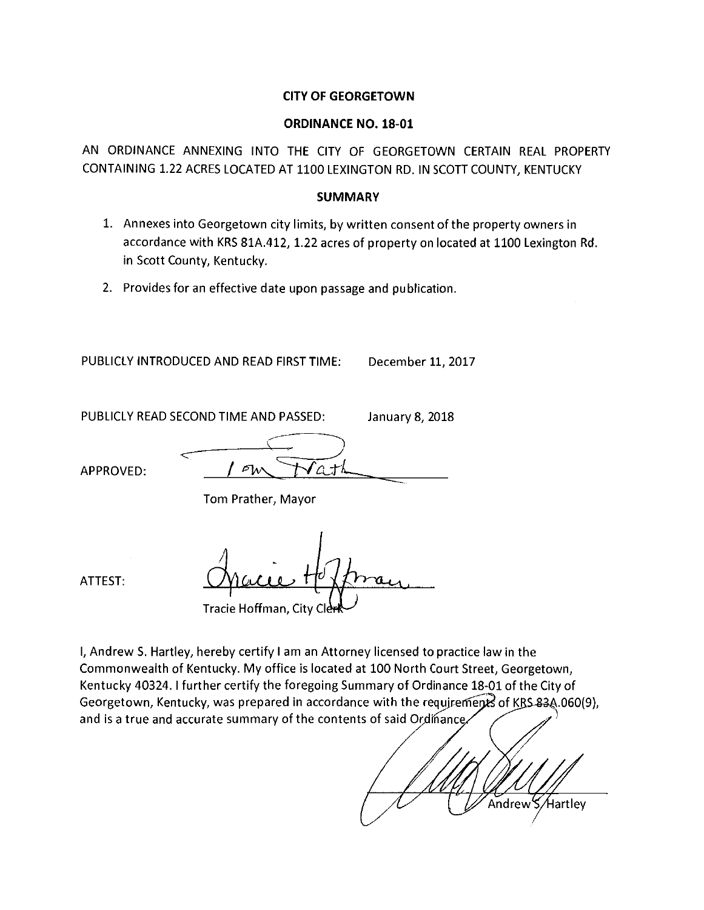#### **CITY OF GEORGETOWN**

#### **ORDINANCE NO. 18-01**

AN ORDINANCE ANNEXING INTO THE CITY OF GEORGETOWN CERTAIN REAL PROPERTY CONTAINING 1.22 ACRES LOCATED AT 1100 LEXINGTON RD. IN SCOTT COUNTY, KENTUCKY

#### **SUMMARY**

- 1. Annexes into Georgetown city limits, by written consent of the property owners in accordance with KRS 81A.412, 1.22 acres of property on located at 1100 Lexington Rd. in Scott County, Kentucky.
- 2. Provides for an effective date upon passage and publication.

PUBLICLY INTRODUCED AND READ FIRST TIME: December 11, 2017

PUBLICLY READ SECOND TIME AND PASSED: January 8, 2018

 $\mathcal{P}(\Lambda)$ APPROVED:

Tom Prather, Mayor

ATTEST:

Tracie Hoffman, City Cl

I, Andrew S. Hartley, hereby certify I am an Attorney licensed to practice law in the Commonwealth of Kentucky. My office is located at 100 North Court Street, Georgetown, Kentucky 40324. I further certify the foregoing Summary of Ordinance 18-01 of the City of Georgetown, Kentucky, was prepared in accordance with the require ments of KRS 83A.060(9), and is a true and accurate summary of the contents of said Ordinance.

Andrew S/Hartley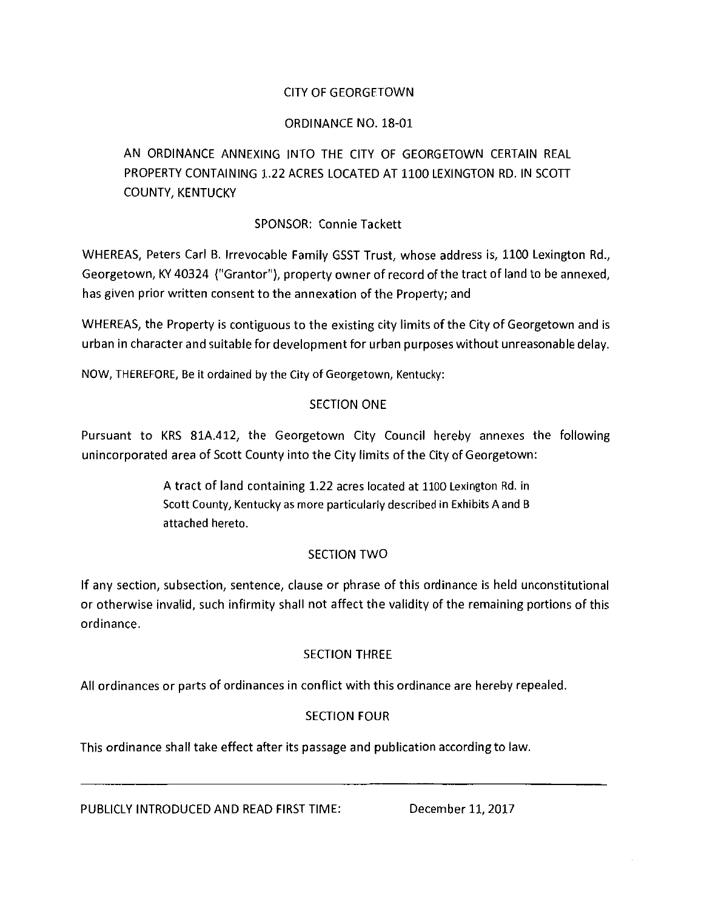# CITY OF GEORGETOWN

#### ORDINANCE NO. 18-01

# AN ORDINANCE ANNEXING INTO THE CITY OF GEORGETOWN CERTAIN REAL PROPERTY CONTAINING 1.22 ACRES LOCATED AT 1100 LEXINGTON RD. IN SCOTT COUNTY, KENTUCKY

#### SPONSOR: Connie Tackett

WHEREAS, Peters Carl B. Irrevocable Family GSST Trust, whose address is, 1100 Lexington Rd., Georgetown, KY 40324 ("Grantor"), property owner of record of the tract of land to be annexed, has given prior written consent to the annexation of the Property; and

WHEREAS, the Property is contiguous to the existing city limits of the City of Georgetown and is urban in character and suitable for development for urban purposes without unreasonable delay.

NOW, THEREFORE, Be it ordained by the City of Georgetown, Kentucky:

#### SECTION ONE

Pursuant to KRS 81A.412, the Georgetown City Council hereby annexes the following unincorporated area of Scott County into the City limits of the City of Georgetown:

> A tract of land containing 1.22 acres located at 1100 Lexington Rd. in Scott County, Kentucky as more particularly described in Exhibits A and B attached hereto.

# SECTION TWO

If any section, subsection, sentence, clause or phrase of this ordinance is held unconstitutional or otherwise invalid, such infirmity shall not affect the validity of the remaining portions of this ordinance.

# SECTION THREE

All ordinances or parts of ordinances in conflict with this ordinance are hereby repealed.

# SECTION FOUR

This ordinance shall take effect after its passage and publication according to law.

PUBLICLY INTRODUCED AND READ FIRST TIME: December 11, 2017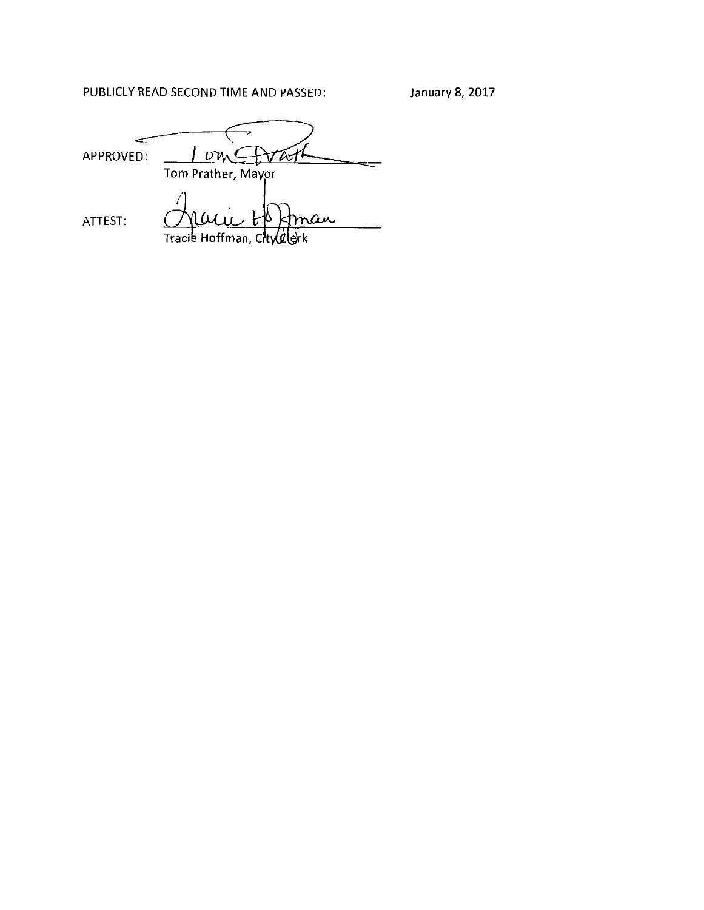PUBLICLY READ SECOND TIME AND PASSED:

 $I_{\nu}$   $\rightarrow$   $I_{\nu}$   $\rightarrow$   $I_{\nu}$   $\rightarrow$   $I_{\nu}$ ~ APPROVED: ATTEST: ran

Tracie Hoffman, City rk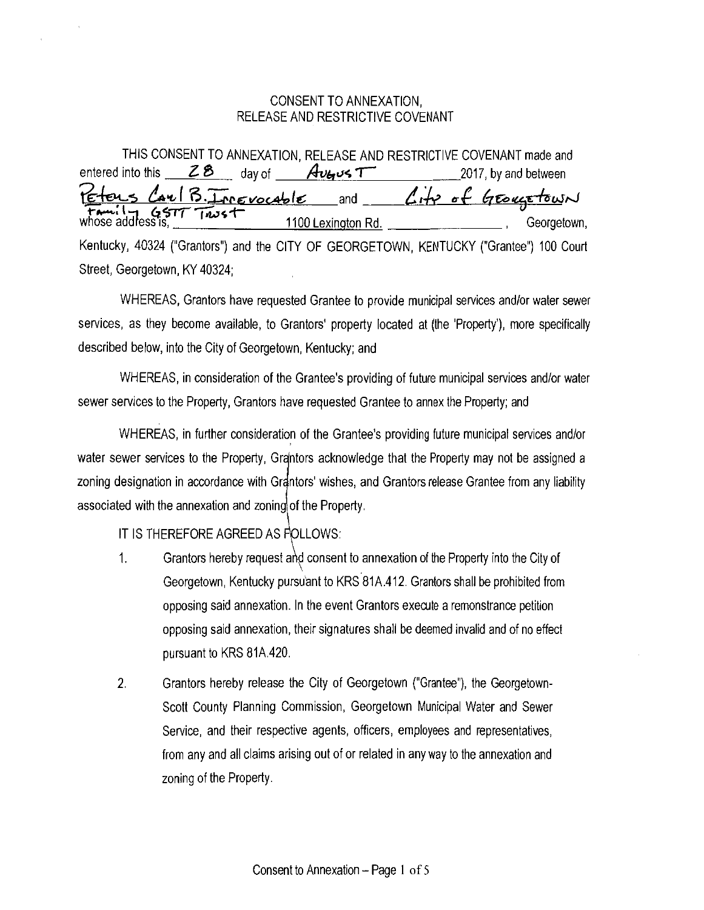#### CONSENT TO ANNEXATION, RELEASE AND RESTRICTIVE COVENANT

|                               | THIS CONSENT TO ANNEXATION, RELEASE AND RESTRICTIVE COVENANT made and                                               |
|-------------------------------|---------------------------------------------------------------------------------------------------------------------|
|                               | entered into this $\angle$ 8 day of $Av$ of $7$ 2017, by and between                                                |
|                               |                                                                                                                     |
|                               | Peters Carl B. Innevocable and City of GEOVETOWN<br>Family GSTT Trust 1100 Lexington Rd. (Georgetown<br>Georgetown, |
|                               | Kentucky, 40324 ("Grantors") and the CITY OF GEORGETOWN, KENTUCKY ("Grantee") 100 Court                             |
| Street, Georgetown, KY 40324; |                                                                                                                     |

WHEREAS, Grantors have requested Grantee to provide municipal services and/or water sewer services, as they become available, to Grantors' property located at {the 'Property'), more specifically described below, into the City of Georgetown, Kentucky; and

WHEREAS, in consideration of the Grantee's providing of future municipal services and/or water sewer services to the Property, Grantors have requested Grantee to annex the Property; and

WHEREAS, in further consideration of the Grantee's providing future municipal services and/or water sewer services to the Property, Grantors acknowledge that the Property may not be assigned a zoning designation in accordance with Grantors' wishes, and Grantors release Grantee from any liability associated with the annexation and zoning of the Property.

IT IS THEREFORE AGREED AS FOLLOWS:

 $\bar{\rm{t}}$ 

- 1. Grantors hereby request and consent to annexation of the Property into the City of Georgetown, Kentucky pursuant to KRS 81A.412. Grantors shall be prohibited from opposing said annexation. In the event Grantors execute a remonstrance petition opposing said annexation, their signatures shall be deemed invalid and of no effect pursuant to KRS 81A.420.
- 2. Grantors hereby release the City of Georgetown ("Grantee"), the Georgetown-Scott County Planning Commission, Georgetown Municipal Water and Sewer Service, and their respective agents, officers, employees and representatives, from any and all claims arising out of or related in any way to the annexation and zoning of the Property.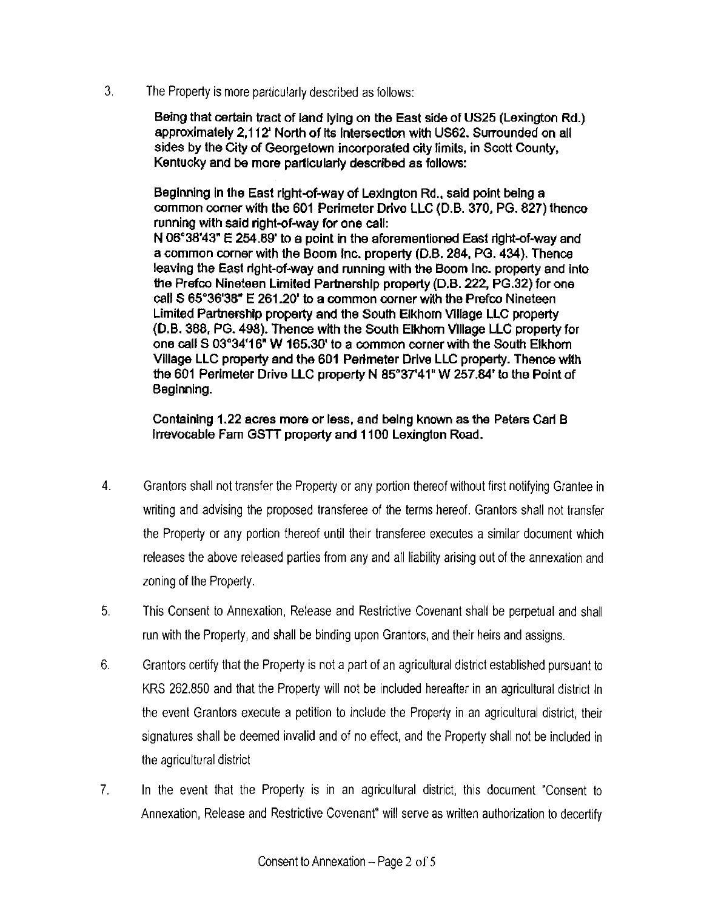3. The Property is more particularly described as follows:

Being that certain tract of land lying on the East side of US25 (Lexington Rd.) approximately 2, 112' North of Its Intersection with US62. Surrounded on all sides by the City of Georgetown incorporated city limits, in Scott County, Kentucky and be more particularly described as follows:

Beginning in the East right-of-way of Lexington Rd., said point being a common corner with the 601 Perimeter Drive LLC (D.B. 370, PG. 827) thence running with said right-of-way for one call: N 06°38'43" E 254.89' to a point in the aforementioned East right-of-way and a common corner with the Boom Inc. property (D.B. 284, PG. 434). Thence leaving the East right-of-way and running with the Boom Inc. property and into the Prefco Nineteen Limited Partnership property (D.B. 222, PG.32) for one call S 65°36'38" E 261.20' to a common corner with the Prefco Nineteen Limited Partnership property and the south Elkhorn Village LLC property {D.B. 388, PG. 498). Thence with the South Elkhorn Village LLC property for one call S 03"34'16" W 165.30' to a common corner with the South Elkhorn Village LLC property and the 601 Perimeter Drive LLC property. Thence with the 601 Perimeter Drive LLC property N 85°37'41" W 257.84' to the Point of Beginning.

Containing 1.22 acres more or less, and being known as the Peters Carl B Irrevocable Fam GSTT property and 1100 Lexington Road.

- 4. Granters shall not transfer the Property or any portion thereof without first notifying Grantee in writing and advising the proposed transferee of the terms hereof. Grantors shall not transfer the Property or any portion thereof until their transferee executes a similar document which releases the above released parties from any and all liability arising out of the annexation and zoning of the Property.
- 5. This Consent to Annexation, Release and Restrictive Covenant shall be perpetual and shall run with the Property, and shall be binding upon Granters, and their heirs and assigns.
- 6. Granters certify that the Property is not a part of an agricultural district established pursuant to KRS 262.850 and that the Property will not be included hereafter in an agricultural district In the event Granters execute a petition to include the Property in an agricultural district, their signatures shall be deemed invalid and of no effect, and the Property shall not be included in the agricultural district
- 7. In the event that the Property is in an agricultural district, this document "Consent to Annexation, Release and Restrictive Covenant" will serve as written authorization to decertify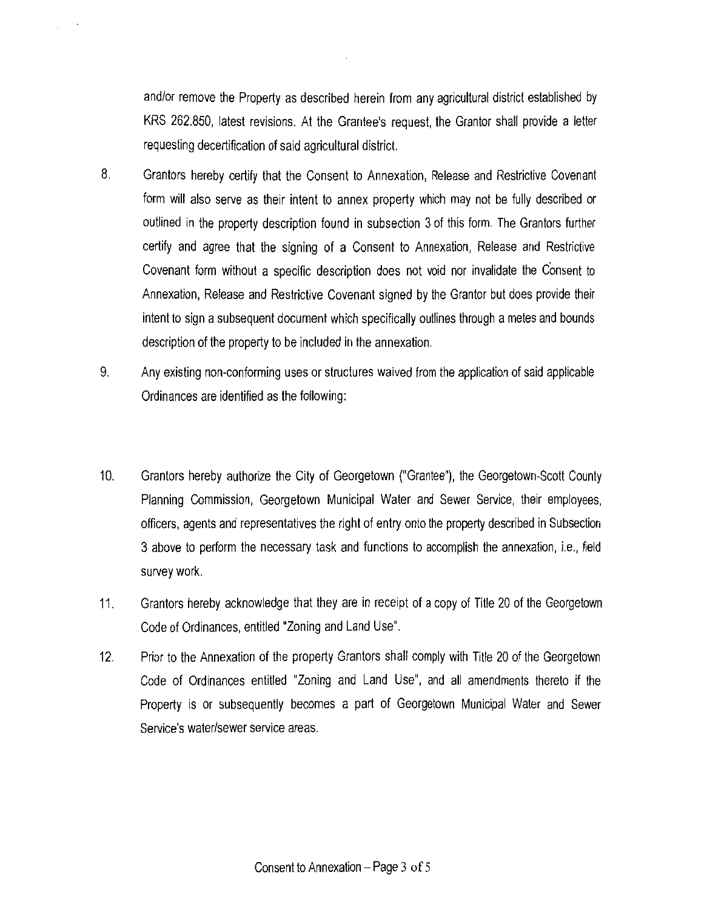and/or remove the Property as described herein from any agricultural district established by KRS 262.850, latest revisions. At the Grantee's request, the Grantor shall provide a letter requesting decertification of said agricultural district.

- 8. Grantors hereby certify that the Consent to Annexation, Release and Restrictive Covenant form will also serve as their intent to annex property which may not be fully described or outlined in the property description found in subsection 3 of this form. The Grantors further certify and agree that the signing of a Consent to Annexation, Release and Restrictive Covenant form without a specific description does not void nor invalidate the Consent to Annexation, Release and Restrictive Covenant signed by the Grantor but does provide their intent to sign a subsequent document which specifically outlines through a metes and bounds description of the property to be included in the annexation.
- 9. Any existing non-conforming uses or structures waived from the application of said applicable Ordinances are identified as the following:
- 10. Grantors hereby authorize the City of Georgetown ("Grantee"), the Georgetown-Scott County Planning Commission, Georgetown Municipal Water and Sewer Service, their employees, officers, agents and representatives the right of entry onto the property described in Subsection 3 above to perform the necessary task and functions to accomplish the annexation, i.e., field survey work.
- 11. Grantors hereby acknowledge that they are in receipt of a copy of Title 20 of the Georgetown Code of Ordinances, entitled "Zoning and Land Use".
- 12. Prior to the Annexation of the property Grantors shall comply with Title 20 of the Georgetown Code of Ordinances entitled "Zoning and Land Use", and all amendments thereto if the Property is or subsequently becomes a part of Georgetown Municipal Water and Sewer Service's water/sewer service areas.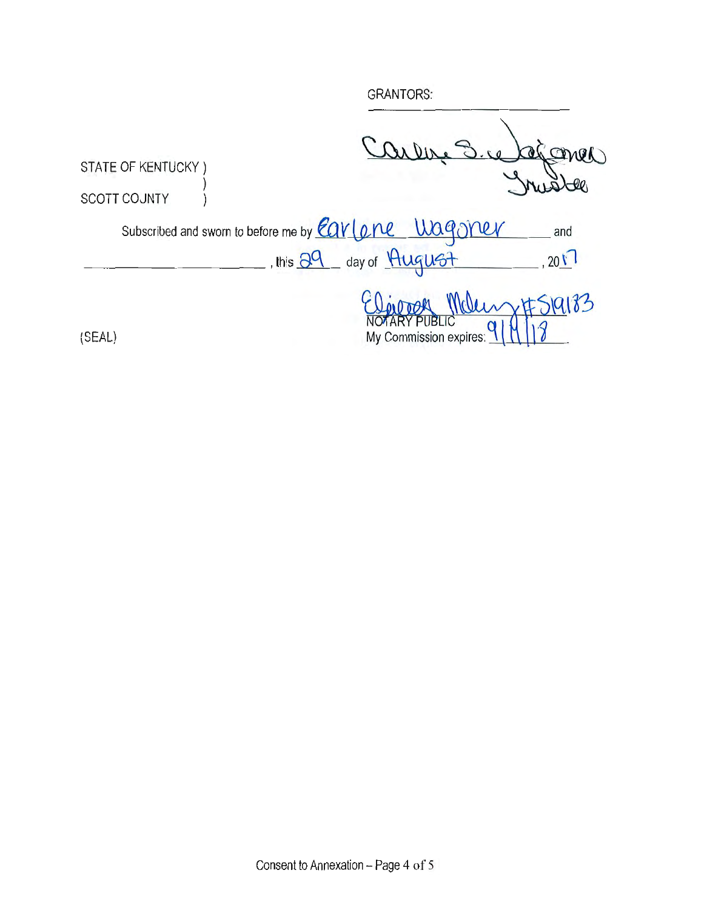**GRANTORS:** alconer **STATE OF KENTUCKY)** SCOTT COUNTY  $\mathcal{E}$ Subscribed and sworn to before me by Earlone Wagoner and , this 29 day of August  $201$ #S19183  $M_0$ TAR My Commission expires: (SEAL)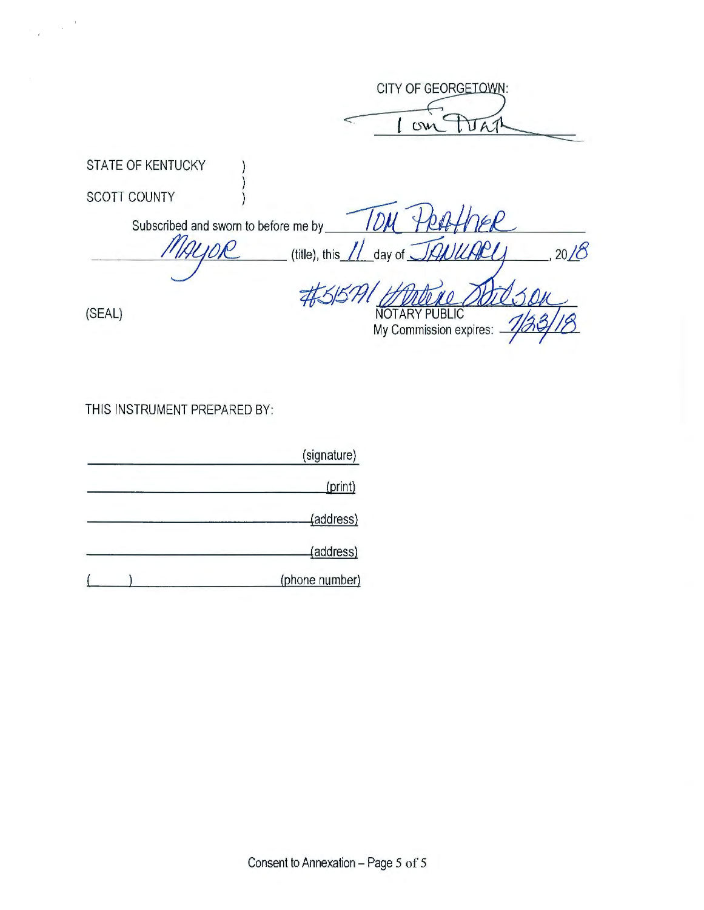CITY OF GEORGETOWN: JAJ  $C<sub>W</sub>$ STATE OF KENTUCKY SCOTT COUNTY  $D$ Subscribed and sworn to before me by  $\mathcal O$  $20/8$ (title), this day of  $\sim$  $\overline{\mathcal{A}}$ (SEAL) **NOTARY PUBLIC** My Commission expires:

THIS INSTRUMENT PREPARED BY:

| (signature)    |  |
|----------------|--|
| (print)        |  |
| (address)      |  |
| (address)      |  |
| (phone number) |  |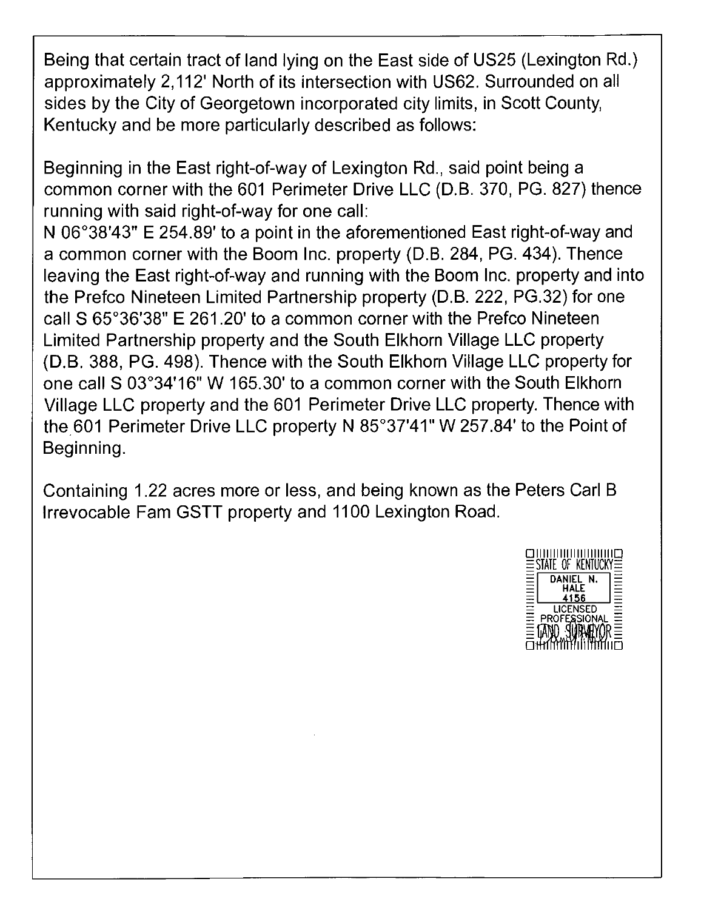Being that certain tract of land lying on the East side of US25 (Lexington Rd.) approximately 2, 112' North of its intersection with US62. Surrounded on all sides by the City of Georgetown incorporated city limits, in Scott County, Kentucky and be more particularly described as follows:

Beginning in the East right-of-way of Lexington Rd., said point being a common corner with the 601 Perimeter Drive LLC (D.B. 370, PG. 827) thence running with said right-of-way for one call:

N 06°38'43" E 254.89' to a point in the aforementioned East right-of-way and a common corner with the Boom Inc. property (D.B. 284, PG. 434). Thence leaving the East right-of-way and running with the Boom Inc. property and into the Prefco Nineteen Limited Partnership property (D.B. 222, PG.32) for one call S 65°36'38" E 261.20' to a common corner with the Prefco Nineteen Limited Partnership property and the South Elkhorn Village LLC property (D.B. 388, PG. 498). Thence with the South Elkhorn Village LLC property for one call S 03°34'16" W 165.30' to a common corner with the South Elkhorn Village LLC property and the 601 Perimeter Drive LLC property. Thence with the. 601 Perimeter Drive LLC property N 85°37'41" W 257 .84' to the Point of Beginning.

Containing 1.22 acres more or less, and being known as the Peters Carl B Irrevocable Fam GSTT property and 1100 Lexington Road.

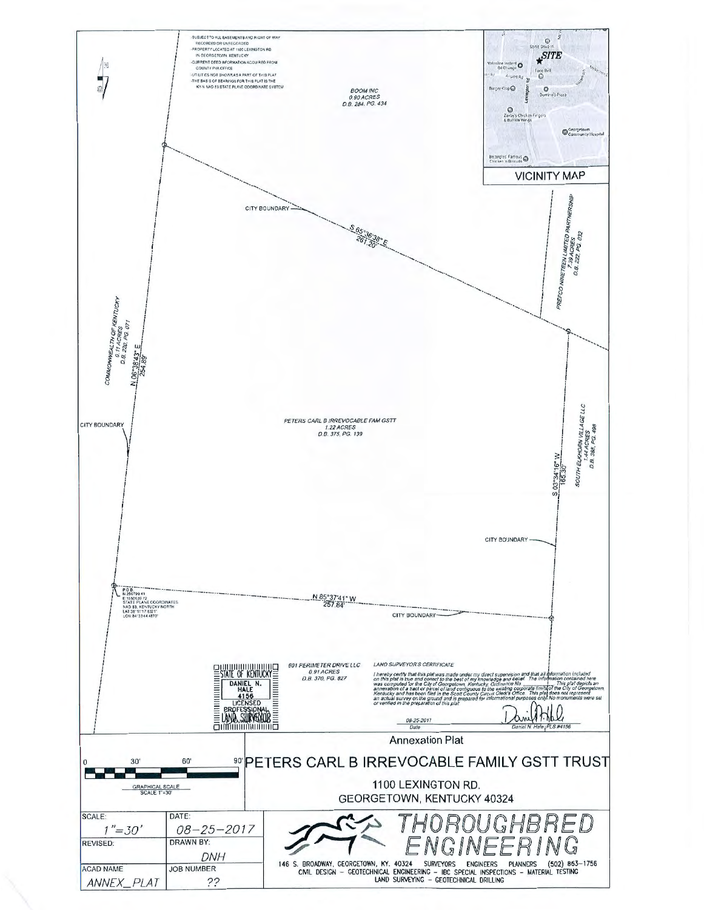